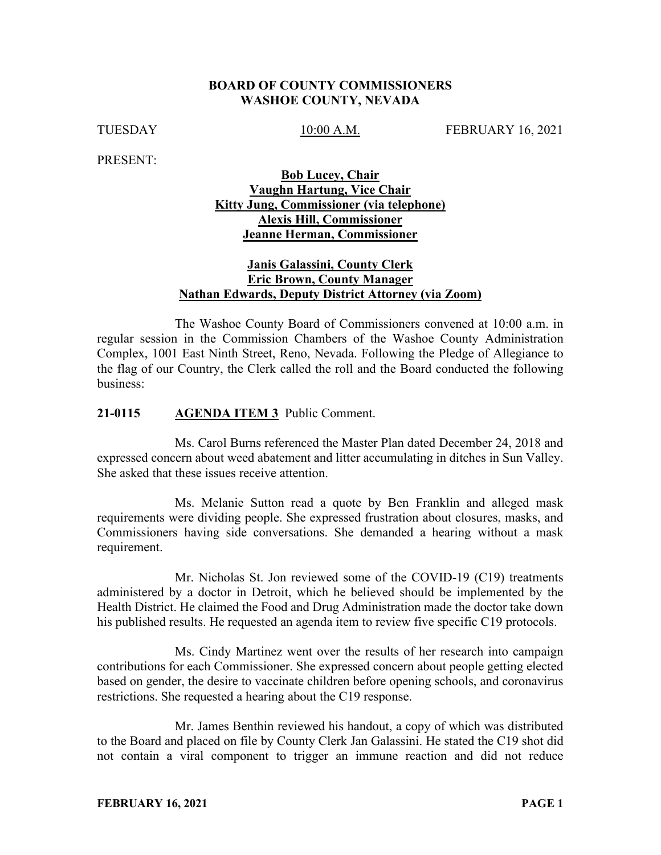#### **BOARD OF COUNTY COMMISSIONERS WASHOE COUNTY, NEVADA**

TUESDAY 10:00 A.M. FEBRUARY 16, 2021

PRESENT:

# **Bob Lucey, Chair Vaughn Hartung, Vice Chair Kitty Jung, Commissioner (via telephone) Alexis Hill, Commissioner Jeanne Herman, Commissioner**

# **Janis Galassini, County Clerk Eric Brown, County Manager Nathan Edwards, Deputy District Attorney (via Zoom)**

The Washoe County Board of Commissioners convened at 10:00 a.m. in regular session in the Commission Chambers of the Washoe County Administration Complex, 1001 East Ninth Street, Reno, Nevada. Following the Pledge of Allegiance to the flag of our Country, the Clerk called the roll and the Board conducted the following business:

#### **21-0115 AGENDA ITEM 3** Public Comment.

Ms. Carol Burns referenced the Master Plan dated December 24, 2018 and expressed concern about weed abatement and litter accumulating in ditches in Sun Valley. She asked that these issues receive attention.

Ms. Melanie Sutton read a quote by Ben Franklin and alleged mask requirements were dividing people. She expressed frustration about closures, masks, and Commissioners having side conversations. She demanded a hearing without a mask requirement.

Mr. Nicholas St. Jon reviewed some of the COVID-19 (C19) treatments administered by a doctor in Detroit, which he believed should be implemented by the Health District. He claimed the Food and Drug Administration made the doctor take down his published results. He requested an agenda item to review five specific C19 protocols.

Ms. Cindy Martinez went over the results of her research into campaign contributions for each Commissioner. She expressed concern about people getting elected based on gender, the desire to vaccinate children before opening schools, and coronavirus restrictions. She requested a hearing about the C19 response.

Mr. James Benthin reviewed his handout, a copy of which was distributed to the Board and placed on file by County Clerk Jan Galassini. He stated the C19 shot did not contain a viral component to trigger an immune reaction and did not reduce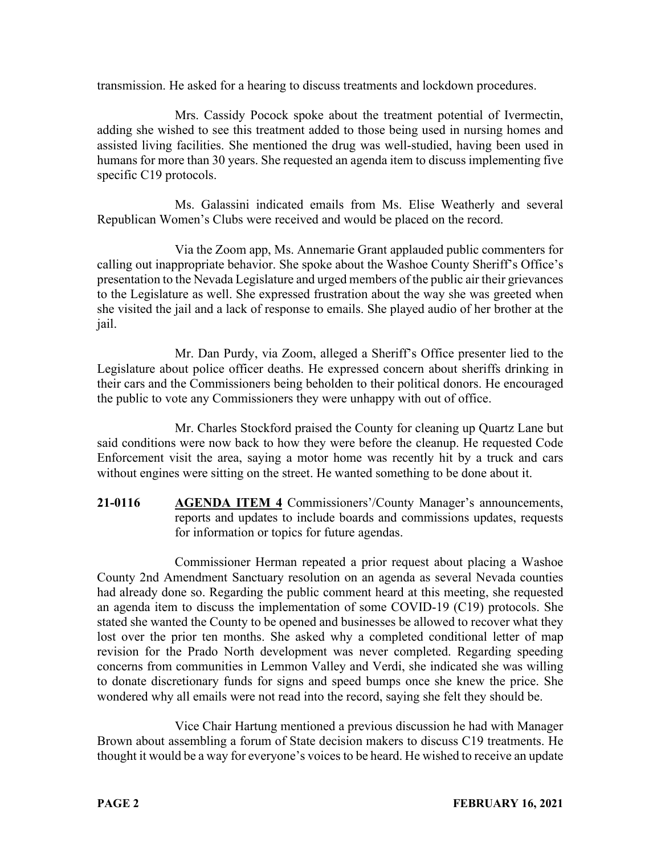transmission. He asked for a hearing to discuss treatments and lockdown procedures.

Mrs. Cassidy Pocock spoke about the treatment potential of Ivermectin, adding she wished to see this treatment added to those being used in nursing homes and assisted living facilities. She mentioned the drug was well-studied, having been used in humans for more than 30 years. She requested an agenda item to discuss implementing five specific C19 protocols.

Ms. Galassini indicated emails from Ms. Elise Weatherly and several Republican Women's Clubs were received and would be placed on the record.

Via the Zoom app, Ms. Annemarie Grant applauded public commenters for calling out inappropriate behavior. She spoke about the Washoe County Sheriff's Office's presentation to the Nevada Legislature and urged members of the public air their grievances to the Legislature as well. She expressed frustration about the way she was greeted when she visited the jail and a lack of response to emails. She played audio of her brother at the jail.

Mr. Dan Purdy, via Zoom, alleged a Sheriff's Office presenter lied to the Legislature about police officer deaths. He expressed concern about sheriffs drinking in their cars and the Commissioners being beholden to their political donors. He encouraged the public to vote any Commissioners they were unhappy with out of office.

Mr. Charles Stockford praised the County for cleaning up Quartz Lane but said conditions were now back to how they were before the cleanup. He requested Code Enforcement visit the area, saying a motor home was recently hit by a truck and cars without engines were sitting on the street. He wanted something to be done about it.

**21-0116 AGENDA ITEM 4** Commissioners'/County Manager's announcements, reports and updates to include boards and commissions updates, requests for information or topics for future agendas.

Commissioner Herman repeated a prior request about placing a Washoe County 2nd Amendment Sanctuary resolution on an agenda as several Nevada counties had already done so. Regarding the public comment heard at this meeting, she requested an agenda item to discuss the implementation of some COVID-19 (C19) protocols. She stated she wanted the County to be opened and businesses be allowed to recover what they lost over the prior ten months. She asked why a completed conditional letter of map revision for the Prado North development was never completed. Regarding speeding concerns from communities in Lemmon Valley and Verdi, she indicated she was willing to donate discretionary funds for signs and speed bumps once she knew the price. She wondered why all emails were not read into the record, saying she felt they should be.

Vice Chair Hartung mentioned a previous discussion he had with Manager Brown about assembling a forum of State decision makers to discuss C19 treatments. He thought it would be a way for everyone's voices to be heard. He wished to receive an update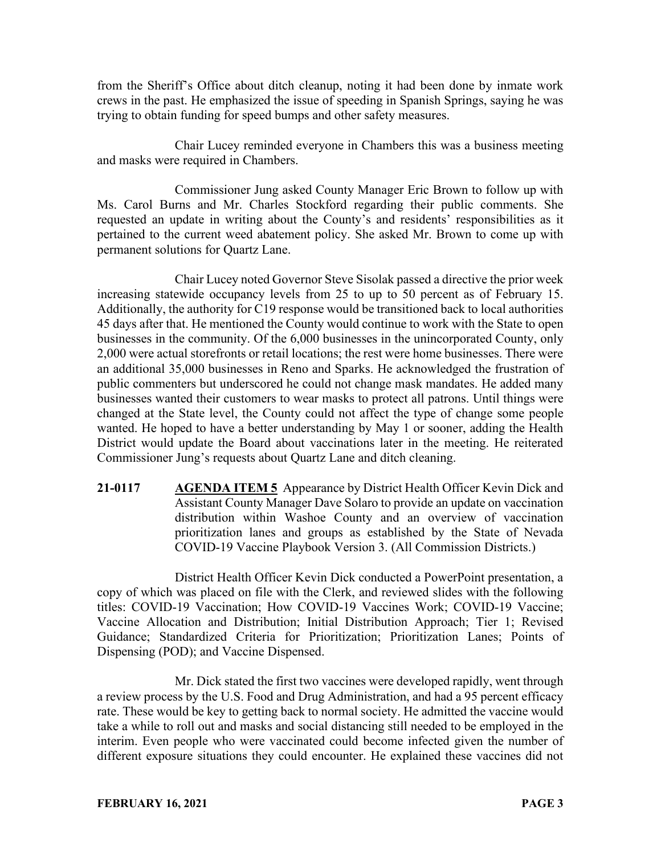from the Sheriff's Office about ditch cleanup, noting it had been done by inmate work crews in the past. He emphasized the issue of speeding in Spanish Springs, saying he was trying to obtain funding for speed bumps and other safety measures.

Chair Lucey reminded everyone in Chambers this was a business meeting and masks were required in Chambers.

Commissioner Jung asked County Manager Eric Brown to follow up with Ms. Carol Burns and Mr. Charles Stockford regarding their public comments. She requested an update in writing about the County's and residents' responsibilities as it pertained to the current weed abatement policy. She asked Mr. Brown to come up with permanent solutions for Quartz Lane.

Chair Lucey noted Governor Steve Sisolak passed a directive the prior week increasing statewide occupancy levels from 25 to up to 50 percent as of February 15. Additionally, the authority for C19 response would be transitioned back to local authorities 45 days after that. He mentioned the County would continue to work with the State to open businesses in the community. Of the 6,000 businesses in the unincorporated County, only 2,000 were actual storefronts or retail locations; the rest were home businesses. There were an additional 35,000 businesses in Reno and Sparks. He acknowledged the frustration of public commenters but underscored he could not change mask mandates. He added many businesses wanted their customers to wear masks to protect all patrons. Until things were changed at the State level, the County could not affect the type of change some people wanted. He hoped to have a better understanding by May 1 or sooner, adding the Health District would update the Board about vaccinations later in the meeting. He reiterated Commissioner Jung's requests about Quartz Lane and ditch cleaning.

**21-0117 AGENDA ITEM 5** Appearance by District Health Officer Kevin Dick and Assistant County Manager Dave Solaro to provide an update on vaccination distribution within Washoe County and an overview of vaccination prioritization lanes and groups as established by the State of Nevada COVID-19 Vaccine Playbook Version 3. (All Commission Districts.)

District Health Officer Kevin Dick conducted a PowerPoint presentation, a copy of which was placed on file with the Clerk, and reviewed slides with the following titles: COVID-19 Vaccination; How COVID-19 Vaccines Work; COVID-19 Vaccine; Vaccine Allocation and Distribution; Initial Distribution Approach; Tier 1; Revised Guidance; Standardized Criteria for Prioritization; Prioritization Lanes; Points of Dispensing (POD); and Vaccine Dispensed.

Mr. Dick stated the first two vaccines were developed rapidly, went through a review process by the U.S. Food and Drug Administration, and had a 95 percent efficacy rate. These would be key to getting back to normal society. He admitted the vaccine would take a while to roll out and masks and social distancing still needed to be employed in the interim. Even people who were vaccinated could become infected given the number of different exposure situations they could encounter. He explained these vaccines did not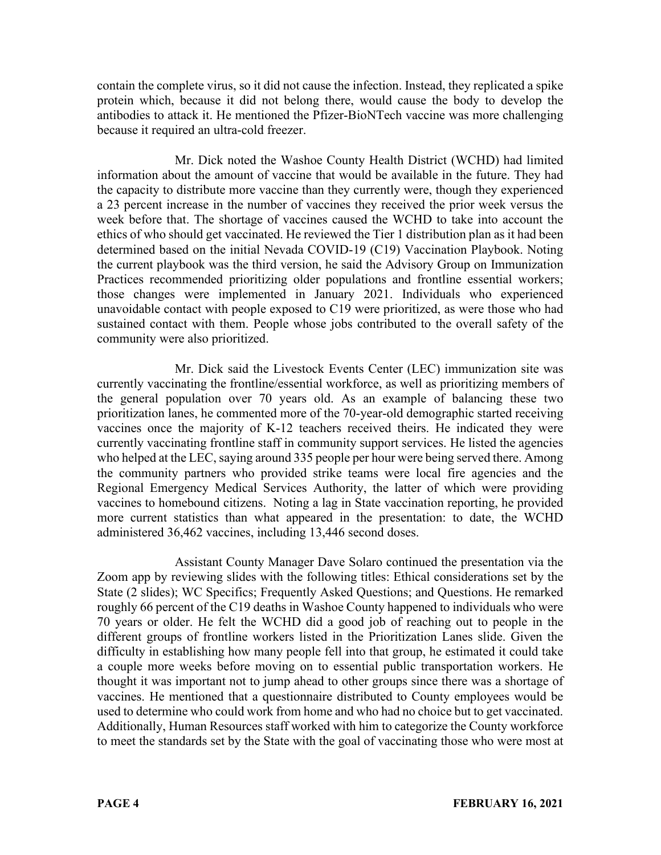contain the complete virus, so it did not cause the infection. Instead, they replicated a spike protein which, because it did not belong there, would cause the body to develop the antibodies to attack it. He mentioned the Pfizer-BioNTech vaccine was more challenging because it required an ultra-cold freezer.

Mr. Dick noted the Washoe County Health District (WCHD) had limited information about the amount of vaccine that would be available in the future. They had the capacity to distribute more vaccine than they currently were, though they experienced a 23 percent increase in the number of vaccines they received the prior week versus the week before that. The shortage of vaccines caused the WCHD to take into account the ethics of who should get vaccinated. He reviewed the Tier 1 distribution plan as it had been determined based on the initial Nevada COVID-19 (C19) Vaccination Playbook. Noting the current playbook was the third version, he said the Advisory Group on Immunization Practices recommended prioritizing older populations and frontline essential workers; those changes were implemented in January 2021. Individuals who experienced unavoidable contact with people exposed to C19 were prioritized, as were those who had sustained contact with them. People whose jobs contributed to the overall safety of the community were also prioritized.

Mr. Dick said the Livestock Events Center (LEC) immunization site was currently vaccinating the frontline/essential workforce, as well as prioritizing members of the general population over 70 years old. As an example of balancing these two prioritization lanes, he commented more of the 70-year-old demographic started receiving vaccines once the majority of K-12 teachers received theirs. He indicated they were currently vaccinating frontline staff in community support services. He listed the agencies who helped at the LEC, saying around 335 people per hour were being served there. Among the community partners who provided strike teams were local fire agencies and the Regional Emergency Medical Services Authority, the latter of which were providing vaccines to homebound citizens. Noting a lag in State vaccination reporting, he provided more current statistics than what appeared in the presentation: to date, the WCHD administered 36,462 vaccines, including 13,446 second doses.

Assistant County Manager Dave Solaro continued the presentation via the Zoom app by reviewing slides with the following titles: Ethical considerations set by the State (2 slides); WC Specifics; Frequently Asked Questions; and Questions. He remarked roughly 66 percent of the C19 deaths in Washoe County happened to individuals who were 70 years or older. He felt the WCHD did a good job of reaching out to people in the different groups of frontline workers listed in the Prioritization Lanes slide. Given the difficulty in establishing how many people fell into that group, he estimated it could take a couple more weeks before moving on to essential public transportation workers. He thought it was important not to jump ahead to other groups since there was a shortage of vaccines. He mentioned that a questionnaire distributed to County employees would be used to determine who could work from home and who had no choice but to get vaccinated. Additionally, Human Resources staff worked with him to categorize the County workforce to meet the standards set by the State with the goal of vaccinating those who were most at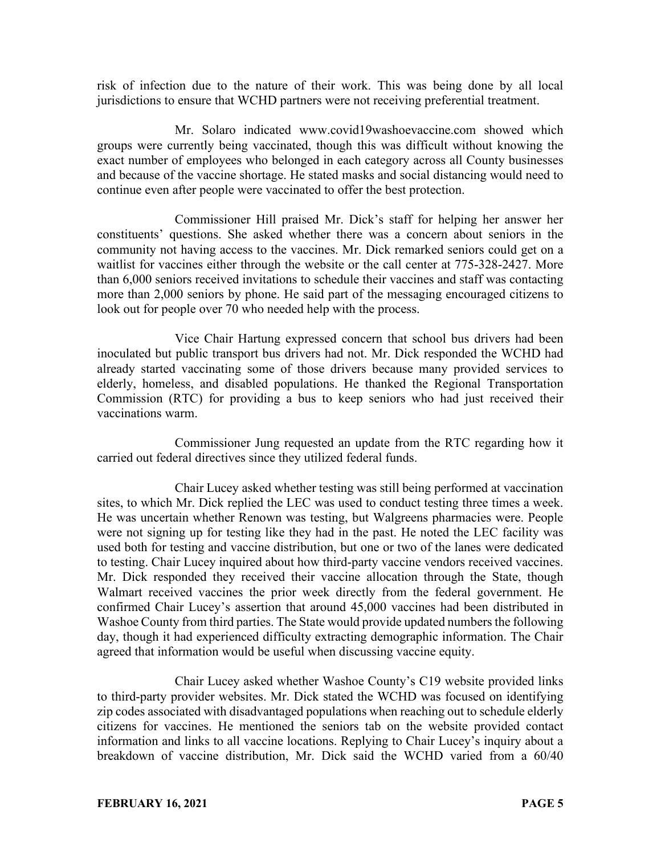risk of infection due to the nature of their work. This was being done by all local jurisdictions to ensure that WCHD partners were not receiving preferential treatment.

Mr. Solaro indicated www.covid19washoevaccine.com showed which groups were currently being vaccinated, though this was difficult without knowing the exact number of employees who belonged in each category across all County businesses and because of the vaccine shortage. He stated masks and social distancing would need to continue even after people were vaccinated to offer the best protection.

Commissioner Hill praised Mr. Dick's staff for helping her answer her constituents' questions. She asked whether there was a concern about seniors in the community not having access to the vaccines. Mr. Dick remarked seniors could get on a waitlist for vaccines either through the website or the call center at 775-328-2427. More than 6,000 seniors received invitations to schedule their vaccines and staff was contacting more than 2,000 seniors by phone. He said part of the messaging encouraged citizens to look out for people over 70 who needed help with the process.

Vice Chair Hartung expressed concern that school bus drivers had been inoculated but public transport bus drivers had not. Mr. Dick responded the WCHD had already started vaccinating some of those drivers because many provided services to elderly, homeless, and disabled populations. He thanked the Regional Transportation Commission (RTC) for providing a bus to keep seniors who had just received their vaccinations warm.

Commissioner Jung requested an update from the RTC regarding how it carried out federal directives since they utilized federal funds.

Chair Lucey asked whether testing was still being performed at vaccination sites, to which Mr. Dick replied the LEC was used to conduct testing three times a week. He was uncertain whether Renown was testing, but Walgreens pharmacies were. People were not signing up for testing like they had in the past. He noted the LEC facility was used both for testing and vaccine distribution, but one or two of the lanes were dedicated to testing. Chair Lucey inquired about how third-party vaccine vendors received vaccines. Mr. Dick responded they received their vaccine allocation through the State, though Walmart received vaccines the prior week directly from the federal government. He confirmed Chair Lucey's assertion that around 45,000 vaccines had been distributed in Washoe County from third parties. The State would provide updated numbers the following day, though it had experienced difficulty extracting demographic information. The Chair agreed that information would be useful when discussing vaccine equity.

Chair Lucey asked whether Washoe County's C19 website provided links to third-party provider websites. Mr. Dick stated the WCHD was focused on identifying zip codes associated with disadvantaged populations when reaching out to schedule elderly citizens for vaccines. He mentioned the seniors tab on the website provided contact information and links to all vaccine locations. Replying to Chair Lucey's inquiry about a breakdown of vaccine distribution, Mr. Dick said the WCHD varied from a 60/40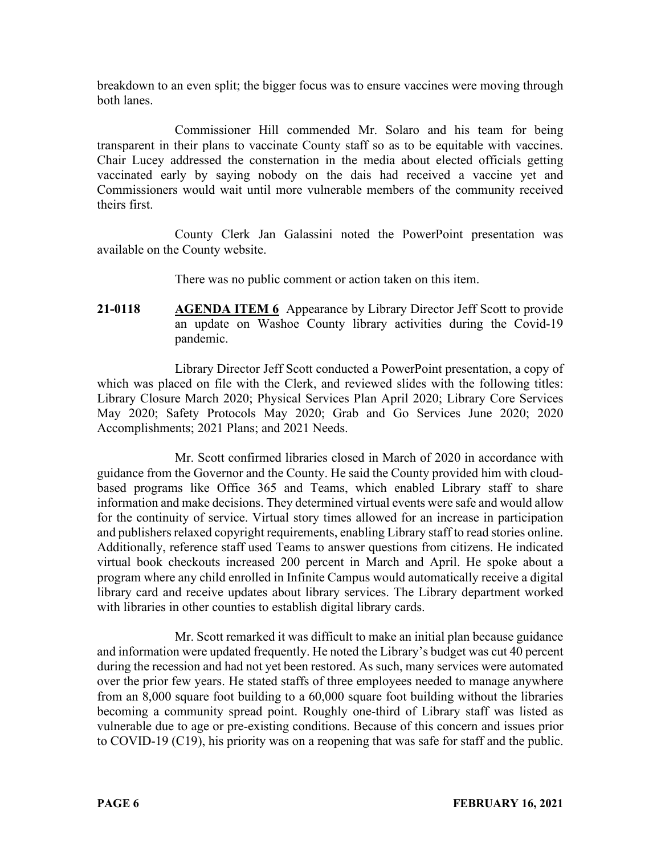breakdown to an even split; the bigger focus was to ensure vaccines were moving through both lanes.

Commissioner Hill commended Mr. Solaro and his team for being transparent in their plans to vaccinate County staff so as to be equitable with vaccines. Chair Lucey addressed the consternation in the media about elected officials getting vaccinated early by saying nobody on the dais had received a vaccine yet and Commissioners would wait until more vulnerable members of the community received theirs first.

County Clerk Jan Galassini noted the PowerPoint presentation was available on the County website.

There was no public comment or action taken on this item.

**21-0118 AGENDA ITEM 6** Appearance by Library Director Jeff Scott to provide an update on Washoe County library activities during the Covid-19 pandemic.

Library Director Jeff Scott conducted a PowerPoint presentation, a copy of which was placed on file with the Clerk, and reviewed slides with the following titles: Library Closure March 2020; Physical Services Plan April 2020; Library Core Services May 2020; Safety Protocols May 2020; Grab and Go Services June 2020; 2020 Accomplishments; 2021 Plans; and 2021 Needs.

Mr. Scott confirmed libraries closed in March of 2020 in accordance with guidance from the Governor and the County. He said the County provided him with cloudbased programs like Office 365 and Teams, which enabled Library staff to share information and make decisions. They determined virtual events were safe and would allow for the continuity of service. Virtual story times allowed for an increase in participation and publishers relaxed copyright requirements, enabling Library staff to read stories online. Additionally, reference staff used Teams to answer questions from citizens. He indicated virtual book checkouts increased 200 percent in March and April. He spoke about a program where any child enrolled in Infinite Campus would automatically receive a digital library card and receive updates about library services. The Library department worked with libraries in other counties to establish digital library cards.

Mr. Scott remarked it was difficult to make an initial plan because guidance and information were updated frequently. He noted the Library's budget was cut 40 percent during the recession and had not yet been restored. As such, many services were automated over the prior few years. He stated staffs of three employees needed to manage anywhere from an 8,000 square foot building to a 60,000 square foot building without the libraries becoming a community spread point. Roughly one-third of Library staff was listed as vulnerable due to age or pre-existing conditions. Because of this concern and issues prior to COVID-19 (C19), his priority was on a reopening that was safe for staff and the public.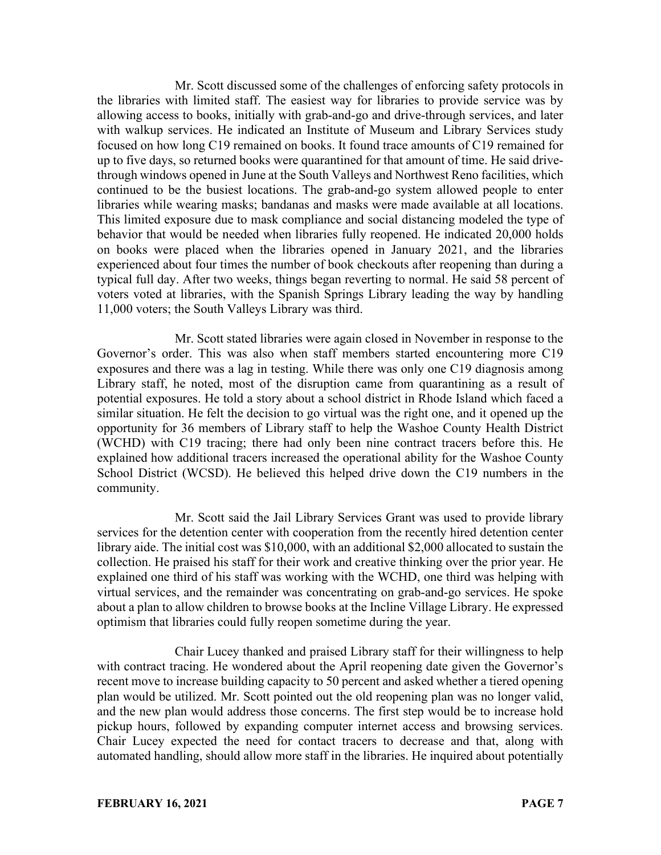Mr. Scott discussed some of the challenges of enforcing safety protocols in the libraries with limited staff. The easiest way for libraries to provide service was by allowing access to books, initially with grab-and-go and drive-through services, and later with walkup services. He indicated an Institute of Museum and Library Services study focused on how long C19 remained on books. It found trace amounts of C19 remained for up to five days, so returned books were quarantined for that amount of time. He said drivethrough windows opened in June at the South Valleys and Northwest Reno facilities, which continued to be the busiest locations. The grab-and-go system allowed people to enter libraries while wearing masks; bandanas and masks were made available at all locations. This limited exposure due to mask compliance and social distancing modeled the type of behavior that would be needed when libraries fully reopened. He indicated 20,000 holds on books were placed when the libraries opened in January 2021, and the libraries experienced about four times the number of book checkouts after reopening than during a typical full day. After two weeks, things began reverting to normal. He said 58 percent of voters voted at libraries, with the Spanish Springs Library leading the way by handling 11,000 voters; the South Valleys Library was third.

Mr. Scott stated libraries were again closed in November in response to the Governor's order. This was also when staff members started encountering more C19 exposures and there was a lag in testing. While there was only one C19 diagnosis among Library staff, he noted, most of the disruption came from quarantining as a result of potential exposures. He told a story about a school district in Rhode Island which faced a similar situation. He felt the decision to go virtual was the right one, and it opened up the opportunity for 36 members of Library staff to help the Washoe County Health District (WCHD) with C19 tracing; there had only been nine contract tracers before this. He explained how additional tracers increased the operational ability for the Washoe County School District (WCSD). He believed this helped drive down the C19 numbers in the community.

Mr. Scott said the Jail Library Services Grant was used to provide library services for the detention center with cooperation from the recently hired detention center library aide. The initial cost was \$10,000, with an additional \$2,000 allocated to sustain the collection. He praised his staff for their work and creative thinking over the prior year. He explained one third of his staff was working with the WCHD, one third was helping with virtual services, and the remainder was concentrating on grab-and-go services. He spoke about a plan to allow children to browse books at the Incline Village Library. He expressed optimism that libraries could fully reopen sometime during the year.

Chair Lucey thanked and praised Library staff for their willingness to help with contract tracing. He wondered about the April reopening date given the Governor's recent move to increase building capacity to 50 percent and asked whether a tiered opening plan would be utilized. Mr. Scott pointed out the old reopening plan was no longer valid, and the new plan would address those concerns. The first step would be to increase hold pickup hours, followed by expanding computer internet access and browsing services. Chair Lucey expected the need for contact tracers to decrease and that, along with automated handling, should allow more staff in the libraries. He inquired about potentially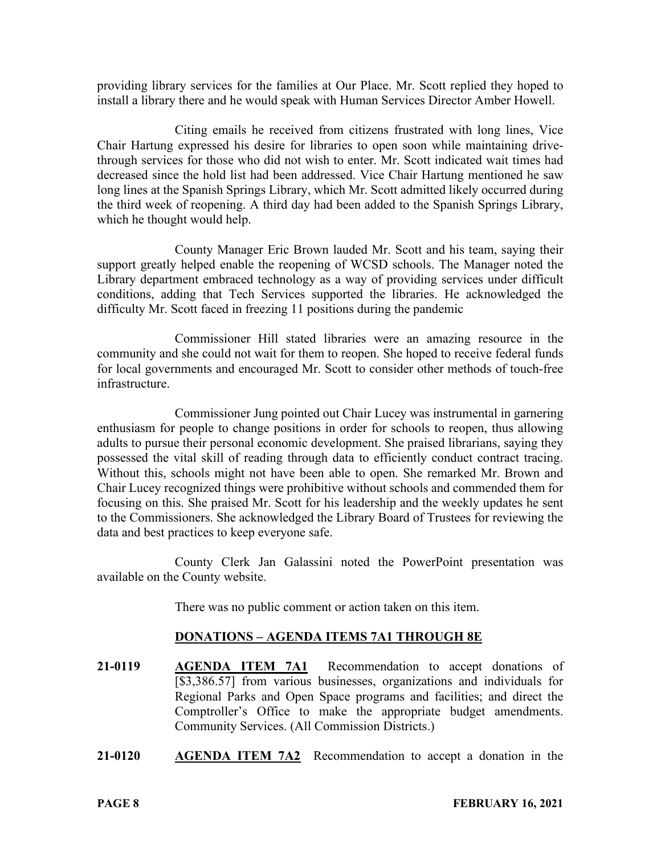providing library services for the families at Our Place. Mr. Scott replied they hoped to install a library there and he would speak with Human Services Director Amber Howell.

Citing emails he received from citizens frustrated with long lines, Vice Chair Hartung expressed his desire for libraries to open soon while maintaining drivethrough services for those who did not wish to enter. Mr. Scott indicated wait times had decreased since the hold list had been addressed. Vice Chair Hartung mentioned he saw long lines at the Spanish Springs Library, which Mr. Scott admitted likely occurred during the third week of reopening. A third day had been added to the Spanish Springs Library, which he thought would help.

County Manager Eric Brown lauded Mr. Scott and his team, saying their support greatly helped enable the reopening of WCSD schools. The Manager noted the Library department embraced technology as a way of providing services under difficult conditions, adding that Tech Services supported the libraries. He acknowledged the difficulty Mr. Scott faced in freezing 11 positions during the pandemic

Commissioner Hill stated libraries were an amazing resource in the community and she could not wait for them to reopen. She hoped to receive federal funds for local governments and encouraged Mr. Scott to consider other methods of touch-free infrastructure.

Commissioner Jung pointed out Chair Lucey was instrumental in garnering enthusiasm for people to change positions in order for schools to reopen, thus allowing adults to pursue their personal economic development. She praised librarians, saying they possessed the vital skill of reading through data to efficiently conduct contract tracing. Without this, schools might not have been able to open. She remarked Mr. Brown and Chair Lucey recognized things were prohibitive without schools and commended them for focusing on this. She praised Mr. Scott for his leadership and the weekly updates he sent to the Commissioners. She acknowledged the Library Board of Trustees for reviewing the data and best practices to keep everyone safe.

County Clerk Jan Galassini noted the PowerPoint presentation was available on the County website.

There was no public comment or action taken on this item.

## **DONATIONS – AGENDA ITEMS 7A1 THROUGH 8E**

- **21-0119 AGENDA ITEM 7A1** Recommendation to accept donations of [\$3,386.57] from various businesses, organizations and individuals for Regional Parks and Open Space programs and facilities; and direct the Comptroller's Office to make the appropriate budget amendments. Community Services. (All Commission Districts.)
- **21-0120 AGENDA ITEM 7A2** Recommendation to accept a donation in the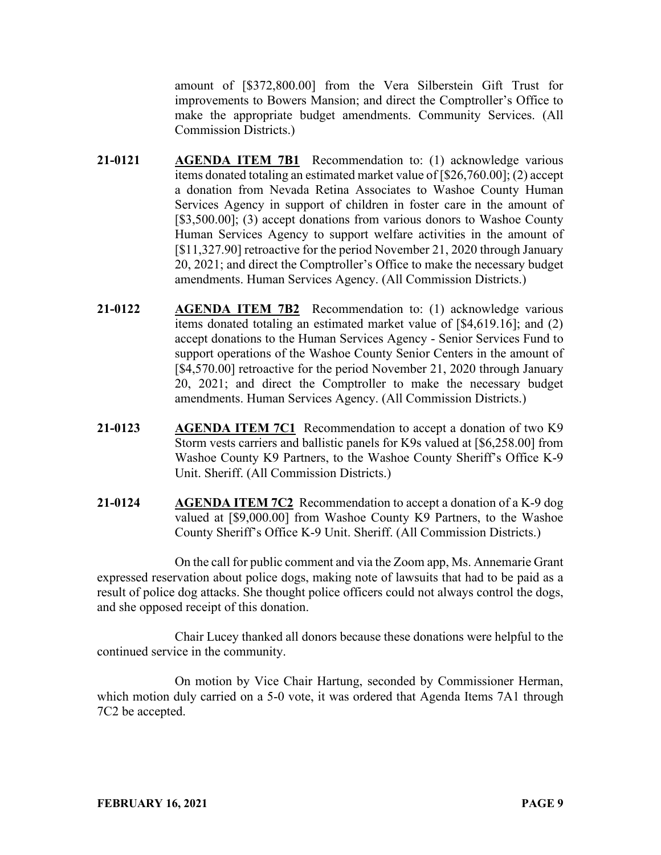amount of [\$372,800.00] from the Vera Silberstein Gift Trust for improvements to Bowers Mansion; and direct the Comptroller's Office to make the appropriate budget amendments. Community Services. (All Commission Districts.)

- **21-0121 AGENDA ITEM 7B1** Recommendation to: (1) acknowledge various items donated totaling an estimated market value of [\$26,760.00]; (2) accept a donation from Nevada Retina Associates to Washoe County Human Services Agency in support of children in foster care in the amount of [\$3,500.00]; (3) accept donations from various donors to Washoe County Human Services Agency to support welfare activities in the amount of [\$11,327.90] retroactive for the period November 21, 2020 through January 20, 2021; and direct the Comptroller's Office to make the necessary budget amendments. Human Services Agency. (All Commission Districts.)
- **21-0122 AGENDA ITEM 7B2** Recommendation to: (1) acknowledge various items donated totaling an estimated market value of [\$4,619.16]; and (2) accept donations to the Human Services Agency - Senior Services Fund to support operations of the Washoe County Senior Centers in the amount of [\$4,570.00] retroactive for the period November 21, 2020 through January 20, 2021; and direct the Comptroller to make the necessary budget amendments. Human Services Agency. (All Commission Districts.)
- **21-0123 AGENDA ITEM 7C1** Recommendation to accept a donation of two K9 Storm vests carriers and ballistic panels for K9s valued at [\$6,258.00] from Washoe County K9 Partners, to the Washoe County Sheriff's Office K-9 Unit. Sheriff. (All Commission Districts.)
- **21-0124 AGENDA ITEM 7C2** Recommendation to accept a donation of a K-9 dog valued at [\$9,000.00] from Washoe County K9 Partners, to the Washoe County Sheriff's Office K-9 Unit. Sheriff. (All Commission Districts.)

On the call for public comment and via the Zoom app, Ms. Annemarie Grant expressed reservation about police dogs, making note of lawsuits that had to be paid as a result of police dog attacks. She thought police officers could not always control the dogs, and she opposed receipt of this donation.

Chair Lucey thanked all donors because these donations were helpful to the continued service in the community.

On motion by Vice Chair Hartung, seconded by Commissioner Herman, which motion duly carried on a 5-0 vote, it was ordered that Agenda Items 7A1 through 7C2 be accepted.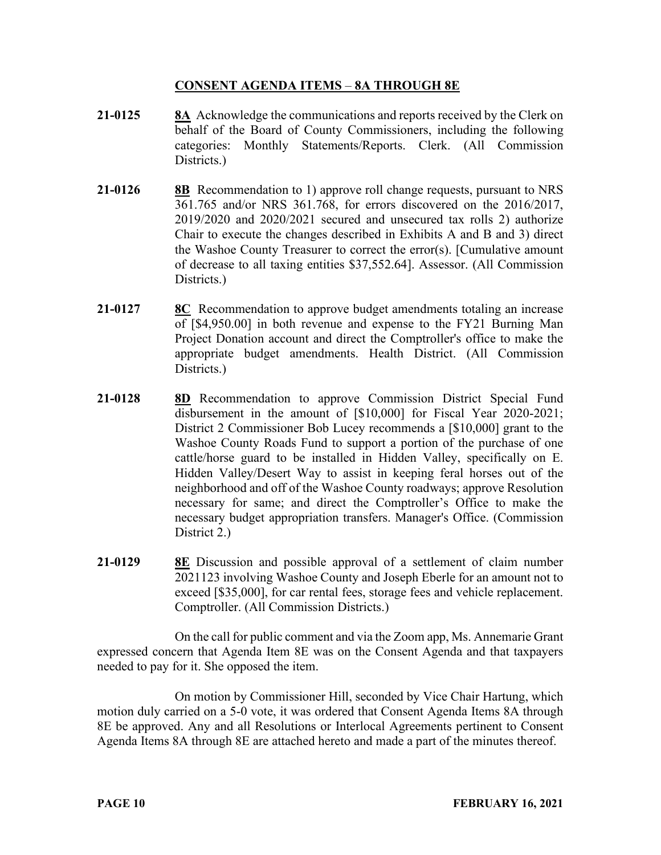# **CONSENT AGENDA ITEMS** – **8A THROUGH 8E**

- **21-0125 8A** Acknowledge the communications and reports received by the Clerk on behalf of the Board of County Commissioners, including the following categories: Monthly Statements/Reports. Clerk. (All Commission Districts.
- **21-0126 8B** Recommendation to 1) approve roll change requests, pursuant to NRS 361.765 and/or NRS 361.768, for errors discovered on the 2016/2017, 2019/2020 and 2020/2021 secured and unsecured tax rolls 2) authorize Chair to execute the changes described in Exhibits A and B and 3) direct the Washoe County Treasurer to correct the error(s). [Cumulative amount of decrease to all taxing entities \$37,552.64]. Assessor. (All Commission Districts.)
- **21-0127 8C** Recommendation to approve budget amendments totaling an increase of [\$4,950.00] in both revenue and expense to the FY21 Burning Man Project Donation account and direct the Comptroller's office to make the appropriate budget amendments. Health District. (All Commission Districts.)
- **21-0128 8D** Recommendation to approve Commission District Special Fund disbursement in the amount of [\$10,000] for Fiscal Year 2020-2021; District 2 Commissioner Bob Lucey recommends a [\$10,000] grant to the Washoe County Roads Fund to support a portion of the purchase of one cattle/horse guard to be installed in Hidden Valley, specifically on E. Hidden Valley/Desert Way to assist in keeping feral horses out of the neighborhood and off of the Washoe County roadways; approve Resolution necessary for same; and direct the Comptroller's Office to make the necessary budget appropriation transfers. Manager's Office. (Commission District 2.)
- **21-0129 8E** Discussion and possible approval of a settlement of claim number 2021123 involving Washoe County and Joseph Eberle for an amount not to exceed [\$35,000], for car rental fees, storage fees and vehicle replacement. Comptroller. (All Commission Districts.)

On the call for public comment and via the Zoom app, Ms. Annemarie Grant expressed concern that Agenda Item 8E was on the Consent Agenda and that taxpayers needed to pay for it. She opposed the item.

On motion by Commissioner Hill, seconded by Vice Chair Hartung, which motion duly carried on a 5-0 vote, it was ordered that Consent Agenda Items 8A through 8E be approved. Any and all Resolutions or Interlocal Agreements pertinent to Consent Agenda Items 8A through 8E are attached hereto and made a part of the minutes thereof.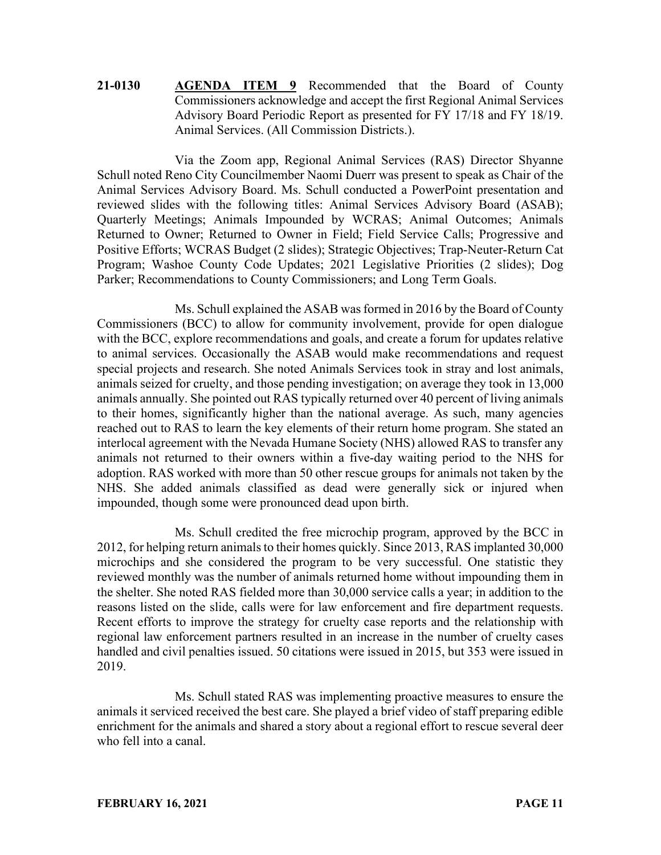# **21-0130 AGENDA ITEM 9** Recommended that the Board of County Commissioners acknowledge and accept the first Regional Animal Services Advisory Board Periodic Report as presented for FY 17/18 and FY 18/19. Animal Services. (All Commission Districts.).

Via the Zoom app, Regional Animal Services (RAS) Director Shyanne Schull noted Reno City Councilmember Naomi Duerr was present to speak as Chair of the Animal Services Advisory Board. Ms. Schull conducted a PowerPoint presentation and reviewed slides with the following titles: Animal Services Advisory Board (ASAB); Quarterly Meetings; Animals Impounded by WCRAS; Animal Outcomes; Animals Returned to Owner; Returned to Owner in Field; Field Service Calls; Progressive and Positive Efforts; WCRAS Budget (2 slides); Strategic Objectives; Trap-Neuter-Return Cat Program; Washoe County Code Updates; 2021 Legislative Priorities (2 slides); Dog Parker; Recommendations to County Commissioners; and Long Term Goals.

Ms. Schull explained the ASAB was formed in 2016 by the Board of County Commissioners (BCC) to allow for community involvement, provide for open dialogue with the BCC, explore recommendations and goals, and create a forum for updates relative to animal services. Occasionally the ASAB would make recommendations and request special projects and research. She noted Animals Services took in stray and lost animals, animals seized for cruelty, and those pending investigation; on average they took in 13,000 animals annually. She pointed out RAS typically returned over 40 percent of living animals to their homes, significantly higher than the national average. As such, many agencies reached out to RAS to learn the key elements of their return home program. She stated an interlocal agreement with the Nevada Humane Society (NHS) allowed RAS to transfer any animals not returned to their owners within a five-day waiting period to the NHS for adoption. RAS worked with more than 50 other rescue groups for animals not taken by the NHS. She added animals classified as dead were generally sick or injured when impounded, though some were pronounced dead upon birth.

Ms. Schull credited the free microchip program, approved by the BCC in 2012, for helping return animals to their homes quickly. Since 2013, RAS implanted 30,000 microchips and she considered the program to be very successful. One statistic they reviewed monthly was the number of animals returned home without impounding them in the shelter. She noted RAS fielded more than 30,000 service calls a year; in addition to the reasons listed on the slide, calls were for law enforcement and fire department requests. Recent efforts to improve the strategy for cruelty case reports and the relationship with regional law enforcement partners resulted in an increase in the number of cruelty cases handled and civil penalties issued. 50 citations were issued in 2015, but 353 were issued in 2019.

Ms. Schull stated RAS was implementing proactive measures to ensure the animals it serviced received the best care. She played a brief video of staff preparing edible enrichment for the animals and shared a story about a regional effort to rescue several deer who fell into a canal.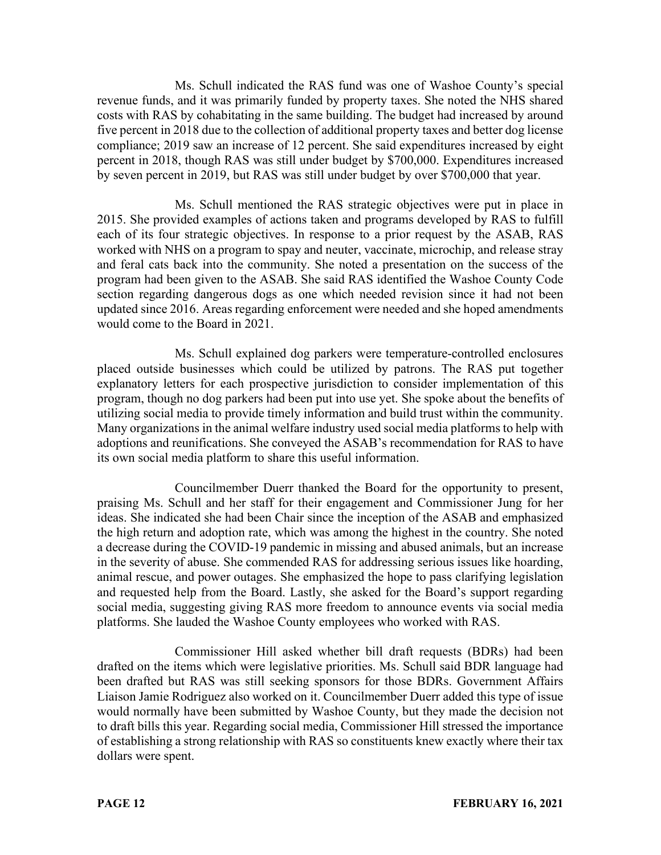Ms. Schull indicated the RAS fund was one of Washoe County's special revenue funds, and it was primarily funded by property taxes. She noted the NHS shared costs with RAS by cohabitating in the same building. The budget had increased by around five percent in 2018 due to the collection of additional property taxes and better dog license compliance; 2019 saw an increase of 12 percent. She said expenditures increased by eight percent in 2018, though RAS was still under budget by \$700,000. Expenditures increased by seven percent in 2019, but RAS was still under budget by over \$700,000 that year.

Ms. Schull mentioned the RAS strategic objectives were put in place in 2015. She provided examples of actions taken and programs developed by RAS to fulfill each of its four strategic objectives. In response to a prior request by the ASAB, RAS worked with NHS on a program to spay and neuter, vaccinate, microchip, and release stray and feral cats back into the community. She noted a presentation on the success of the program had been given to the ASAB. She said RAS identified the Washoe County Code section regarding dangerous dogs as one which needed revision since it had not been updated since 2016. Areas regarding enforcement were needed and she hoped amendments would come to the Board in 2021.

Ms. Schull explained dog parkers were temperature-controlled enclosures placed outside businesses which could be utilized by patrons. The RAS put together explanatory letters for each prospective jurisdiction to consider implementation of this program, though no dog parkers had been put into use yet. She spoke about the benefits of utilizing social media to provide timely information and build trust within the community. Many organizations in the animal welfare industry used social media platforms to help with adoptions and reunifications. She conveyed the ASAB's recommendation for RAS to have its own social media platform to share this useful information.

Councilmember Duerr thanked the Board for the opportunity to present, praising Ms. Schull and her staff for their engagement and Commissioner Jung for her ideas. She indicated she had been Chair since the inception of the ASAB and emphasized the high return and adoption rate, which was among the highest in the country. She noted a decrease during the COVID-19 pandemic in missing and abused animals, but an increase in the severity of abuse. She commended RAS for addressing serious issues like hoarding, animal rescue, and power outages. She emphasized the hope to pass clarifying legislation and requested help from the Board. Lastly, she asked for the Board's support regarding social media, suggesting giving RAS more freedom to announce events via social media platforms. She lauded the Washoe County employees who worked with RAS.

Commissioner Hill asked whether bill draft requests (BDRs) had been drafted on the items which were legislative priorities. Ms. Schull said BDR language had been drafted but RAS was still seeking sponsors for those BDRs. Government Affairs Liaison Jamie Rodriguez also worked on it. Councilmember Duerr added this type of issue would normally have been submitted by Washoe County, but they made the decision not to draft bills this year. Regarding social media, Commissioner Hill stressed the importance of establishing a strong relationship with RAS so constituents knew exactly where their tax dollars were spent.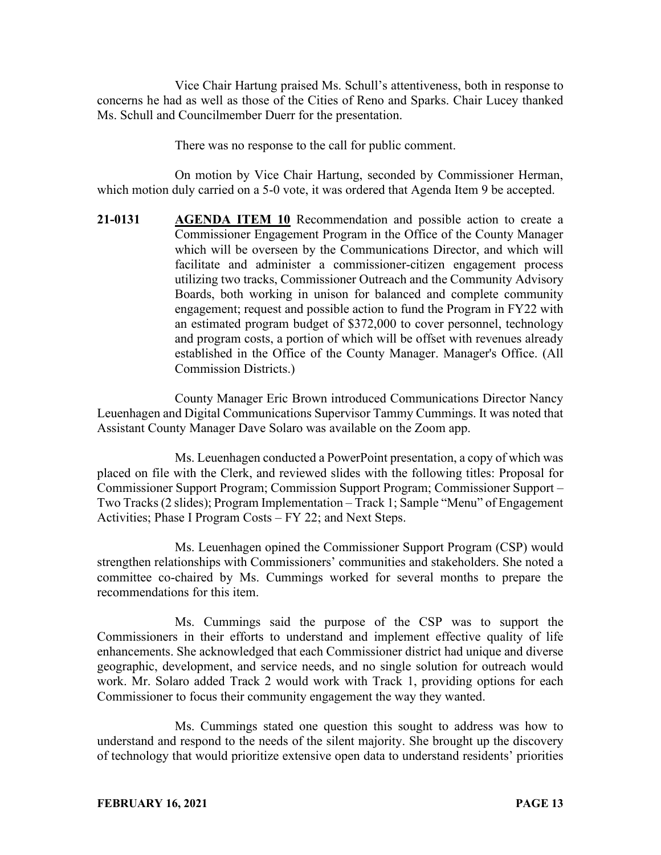Vice Chair Hartung praised Ms. Schull's attentiveness, both in response to concerns he had as well as those of the Cities of Reno and Sparks. Chair Lucey thanked Ms. Schull and Councilmember Duerr for the presentation.

There was no response to the call for public comment.

On motion by Vice Chair Hartung, seconded by Commissioner Herman, which motion duly carried on a 5-0 vote, it was ordered that Agenda Item 9 be accepted.

**21-0131 AGENDA ITEM 10** Recommendation and possible action to create a Commissioner Engagement Program in the Office of the County Manager which will be overseen by the Communications Director, and which will facilitate and administer a commissioner-citizen engagement process utilizing two tracks, Commissioner Outreach and the Community Advisory Boards, both working in unison for balanced and complete community engagement; request and possible action to fund the Program in FY22 with an estimated program budget of \$372,000 to cover personnel, technology and program costs, a portion of which will be offset with revenues already established in the Office of the County Manager. Manager's Office. (All Commission Districts.)

County Manager Eric Brown introduced Communications Director Nancy Leuenhagen and Digital Communications Supervisor Tammy Cummings. It was noted that Assistant County Manager Dave Solaro was available on the Zoom app.

Ms. Leuenhagen conducted a PowerPoint presentation, a copy of which was placed on file with the Clerk, and reviewed slides with the following titles: Proposal for Commissioner Support Program; Commission Support Program; Commissioner Support – Two Tracks (2 slides); Program Implementation – Track 1; Sample "Menu" of Engagement Activities; Phase I Program Costs – FY 22; and Next Steps.

Ms. Leuenhagen opined the Commissioner Support Program (CSP) would strengthen relationships with Commissioners' communities and stakeholders. She noted a committee co-chaired by Ms. Cummings worked for several months to prepare the recommendations for this item.

Ms. Cummings said the purpose of the CSP was to support the Commissioners in their efforts to understand and implement effective quality of life enhancements. She acknowledged that each Commissioner district had unique and diverse geographic, development, and service needs, and no single solution for outreach would work. Mr. Solaro added Track 2 would work with Track 1, providing options for each Commissioner to focus their community engagement the way they wanted.

Ms. Cummings stated one question this sought to address was how to understand and respond to the needs of the silent majority. She brought up the discovery of technology that would prioritize extensive open data to understand residents' priorities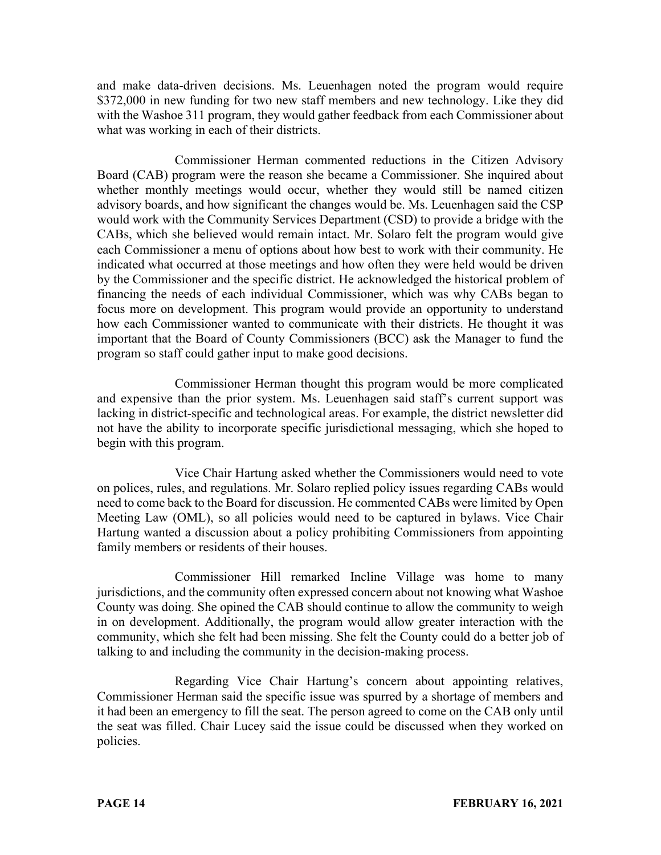and make data-driven decisions. Ms. Leuenhagen noted the program would require \$372,000 in new funding for two new staff members and new technology. Like they did with the Washoe 311 program, they would gather feedback from each Commissioner about what was working in each of their districts.

Commissioner Herman commented reductions in the Citizen Advisory Board (CAB) program were the reason she became a Commissioner. She inquired about whether monthly meetings would occur, whether they would still be named citizen advisory boards, and how significant the changes would be. Ms. Leuenhagen said the CSP would work with the Community Services Department (CSD) to provide a bridge with the CABs, which she believed would remain intact. Mr. Solaro felt the program would give each Commissioner a menu of options about how best to work with their community. He indicated what occurred at those meetings and how often they were held would be driven by the Commissioner and the specific district. He acknowledged the historical problem of financing the needs of each individual Commissioner, which was why CABs began to focus more on development. This program would provide an opportunity to understand how each Commissioner wanted to communicate with their districts. He thought it was important that the Board of County Commissioners (BCC) ask the Manager to fund the program so staff could gather input to make good decisions.

Commissioner Herman thought this program would be more complicated and expensive than the prior system. Ms. Leuenhagen said staff's current support was lacking in district-specific and technological areas. For example, the district newsletter did not have the ability to incorporate specific jurisdictional messaging, which she hoped to begin with this program.

Vice Chair Hartung asked whether the Commissioners would need to vote on polices, rules, and regulations. Mr. Solaro replied policy issues regarding CABs would need to come back to the Board for discussion. He commented CABs were limited by Open Meeting Law (OML), so all policies would need to be captured in bylaws. Vice Chair Hartung wanted a discussion about a policy prohibiting Commissioners from appointing family members or residents of their houses.

Commissioner Hill remarked Incline Village was home to many jurisdictions, and the community often expressed concern about not knowing what Washoe County was doing. She opined the CAB should continue to allow the community to weigh in on development. Additionally, the program would allow greater interaction with the community, which she felt had been missing. She felt the County could do a better job of talking to and including the community in the decision-making process.

Regarding Vice Chair Hartung's concern about appointing relatives, Commissioner Herman said the specific issue was spurred by a shortage of members and it had been an emergency to fill the seat. The person agreed to come on the CAB only until the seat was filled. Chair Lucey said the issue could be discussed when they worked on policies.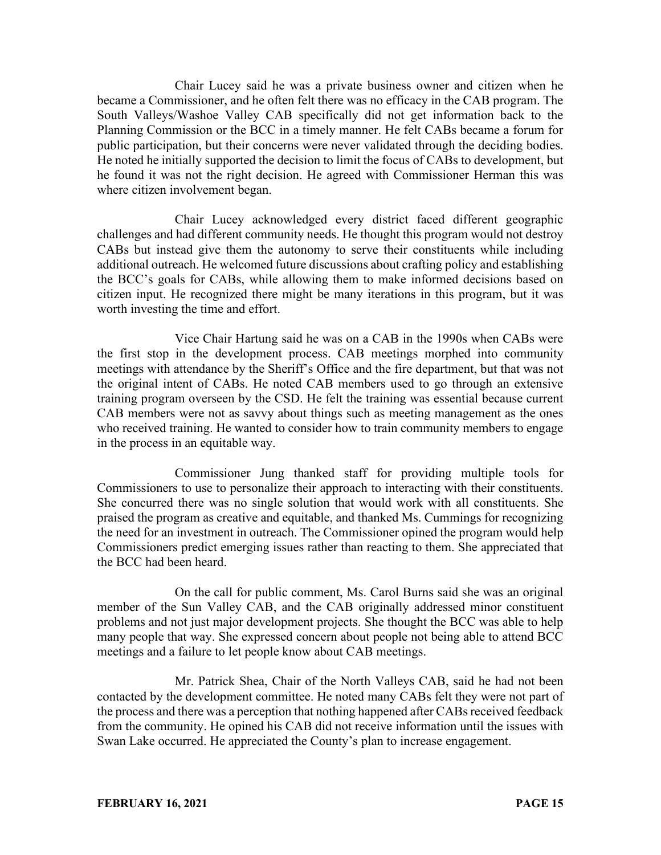Chair Lucey said he was a private business owner and citizen when he became a Commissioner, and he often felt there was no efficacy in the CAB program. The South Valleys/Washoe Valley CAB specifically did not get information back to the Planning Commission or the BCC in a timely manner. He felt CABs became a forum for public participation, but their concerns were never validated through the deciding bodies. He noted he initially supported the decision to limit the focus of CABs to development, but he found it was not the right decision. He agreed with Commissioner Herman this was where citizen involvement began.

Chair Lucey acknowledged every district faced different geographic challenges and had different community needs. He thought this program would not destroy CABs but instead give them the autonomy to serve their constituents while including additional outreach. He welcomed future discussions about crafting policy and establishing the BCC's goals for CABs, while allowing them to make informed decisions based on citizen input. He recognized there might be many iterations in this program, but it was worth investing the time and effort.

Vice Chair Hartung said he was on a CAB in the 1990s when CABs were the first stop in the development process. CAB meetings morphed into community meetings with attendance by the Sheriff's Office and the fire department, but that was not the original intent of CABs. He noted CAB members used to go through an extensive training program overseen by the CSD. He felt the training was essential because current CAB members were not as savvy about things such as meeting management as the ones who received training. He wanted to consider how to train community members to engage in the process in an equitable way.

Commissioner Jung thanked staff for providing multiple tools for Commissioners to use to personalize their approach to interacting with their constituents. She concurred there was no single solution that would work with all constituents. She praised the program as creative and equitable, and thanked Ms. Cummings for recognizing the need for an investment in outreach. The Commissioner opined the program would help Commissioners predict emerging issues rather than reacting to them. She appreciated that the BCC had been heard.

On the call for public comment, Ms. Carol Burns said she was an original member of the Sun Valley CAB, and the CAB originally addressed minor constituent problems and not just major development projects. She thought the BCC was able to help many people that way. She expressed concern about people not being able to attend BCC meetings and a failure to let people know about CAB meetings.

Mr. Patrick Shea, Chair of the North Valleys CAB, said he had not been contacted by the development committee. He noted many CABs felt they were not part of the process and there was a perception that nothing happened after CABs received feedback from the community. He opined his CAB did not receive information until the issues with Swan Lake occurred. He appreciated the County's plan to increase engagement.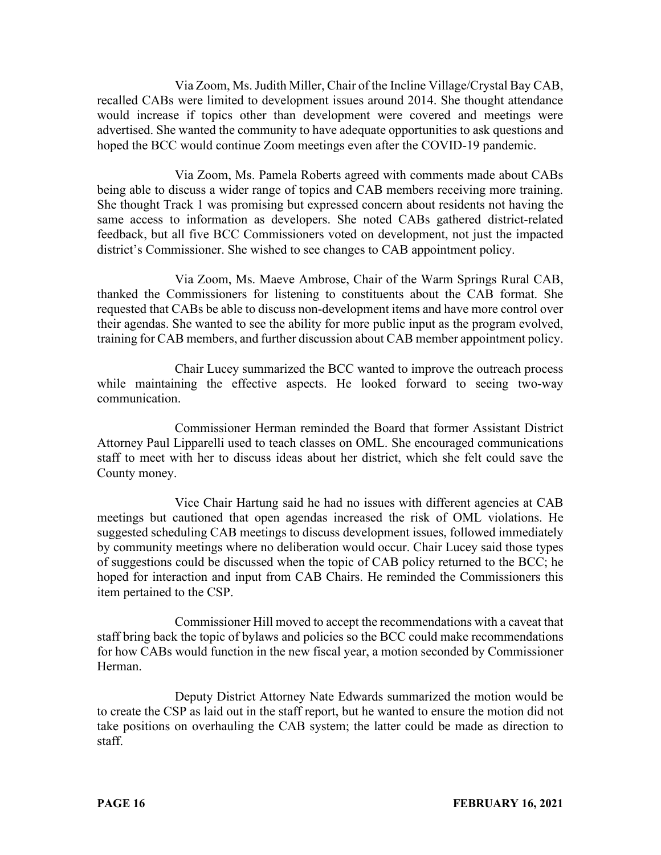Via Zoom, Ms. Judith Miller, Chair of the Incline Village/Crystal Bay CAB, recalled CABs were limited to development issues around 2014. She thought attendance would increase if topics other than development were covered and meetings were advertised. She wanted the community to have adequate opportunities to ask questions and hoped the BCC would continue Zoom meetings even after the COVID-19 pandemic.

Via Zoom, Ms. Pamela Roberts agreed with comments made about CABs being able to discuss a wider range of topics and CAB members receiving more training. She thought Track 1 was promising but expressed concern about residents not having the same access to information as developers. She noted CABs gathered district-related feedback, but all five BCC Commissioners voted on development, not just the impacted district's Commissioner. She wished to see changes to CAB appointment policy.

Via Zoom, Ms. Maeve Ambrose, Chair of the Warm Springs Rural CAB, thanked the Commissioners for listening to constituents about the CAB format. She requested that CABs be able to discuss non-development items and have more control over their agendas. She wanted to see the ability for more public input as the program evolved, training for CAB members, and further discussion about CAB member appointment policy.

Chair Lucey summarized the BCC wanted to improve the outreach process while maintaining the effective aspects. He looked forward to seeing two-way communication.

Commissioner Herman reminded the Board that former Assistant District Attorney Paul Lipparelli used to teach classes on OML. She encouraged communications staff to meet with her to discuss ideas about her district, which she felt could save the County money.

Vice Chair Hartung said he had no issues with different agencies at CAB meetings but cautioned that open agendas increased the risk of OML violations. He suggested scheduling CAB meetings to discuss development issues, followed immediately by community meetings where no deliberation would occur. Chair Lucey said those types of suggestions could be discussed when the topic of CAB policy returned to the BCC; he hoped for interaction and input from CAB Chairs. He reminded the Commissioners this item pertained to the CSP.

Commissioner Hill moved to accept the recommendations with a caveat that staff bring back the topic of bylaws and policies so the BCC could make recommendations for how CABs would function in the new fiscal year, a motion seconded by Commissioner Herman.

Deputy District Attorney Nate Edwards summarized the motion would be to create the CSP as laid out in the staff report, but he wanted to ensure the motion did not take positions on overhauling the CAB system; the latter could be made as direction to staff.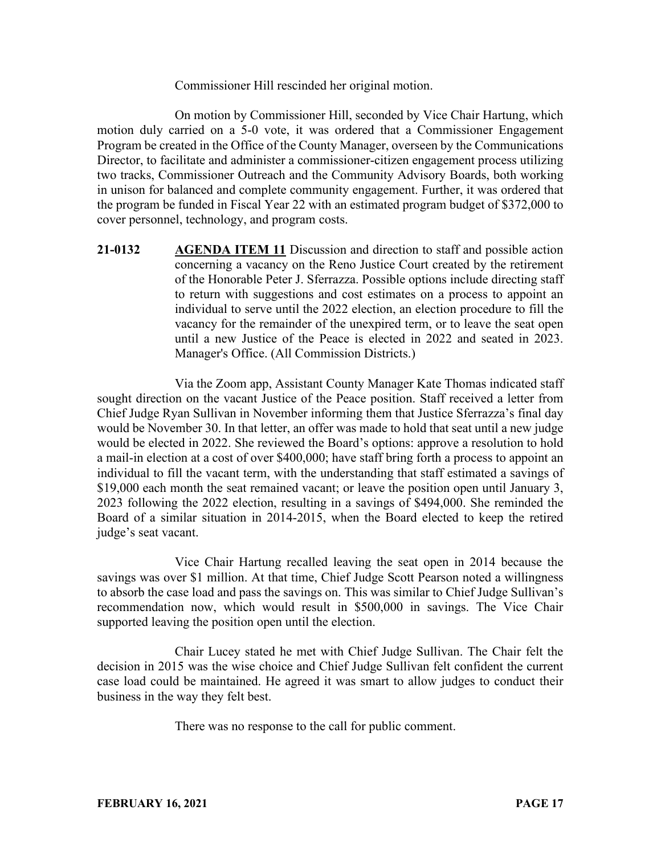Commissioner Hill rescinded her original motion.

On motion by Commissioner Hill, seconded by Vice Chair Hartung, which motion duly carried on a 5-0 vote, it was ordered that a Commissioner Engagement Program be created in the Office of the County Manager, overseen by the Communications Director, to facilitate and administer a commissioner-citizen engagement process utilizing two tracks, Commissioner Outreach and the Community Advisory Boards, both working in unison for balanced and complete community engagement. Further, it was ordered that the program be funded in Fiscal Year 22 with an estimated program budget of \$372,000 to cover personnel, technology, and program costs.

**21-0132 AGENDA ITEM 11** Discussion and direction to staff and possible action concerning a vacancy on the Reno Justice Court created by the retirement of the Honorable Peter J. Sferrazza. Possible options include directing staff to return with suggestions and cost estimates on a process to appoint an individual to serve until the 2022 election, an election procedure to fill the vacancy for the remainder of the unexpired term, or to leave the seat open until a new Justice of the Peace is elected in 2022 and seated in 2023. Manager's Office. (All Commission Districts.)

Via the Zoom app, Assistant County Manager Kate Thomas indicated staff sought direction on the vacant Justice of the Peace position. Staff received a letter from Chief Judge Ryan Sullivan in November informing them that Justice Sferrazza's final day would be November 30. In that letter, an offer was made to hold that seat until a new judge would be elected in 2022. She reviewed the Board's options: approve a resolution to hold a mail-in election at a cost of over \$400,000; have staff bring forth a process to appoint an individual to fill the vacant term, with the understanding that staff estimated a savings of \$19,000 each month the seat remained vacant; or leave the position open until January 3, 2023 following the 2022 election, resulting in a savings of \$494,000. She reminded the Board of a similar situation in 2014-2015, when the Board elected to keep the retired judge's seat vacant.

Vice Chair Hartung recalled leaving the seat open in 2014 because the savings was over \$1 million. At that time, Chief Judge Scott Pearson noted a willingness to absorb the case load and pass the savings on. This was similar to Chief Judge Sullivan's recommendation now, which would result in \$500,000 in savings. The Vice Chair supported leaving the position open until the election.

Chair Lucey stated he met with Chief Judge Sullivan. The Chair felt the decision in 2015 was the wise choice and Chief Judge Sullivan felt confident the current case load could be maintained. He agreed it was smart to allow judges to conduct their business in the way they felt best.

There was no response to the call for public comment.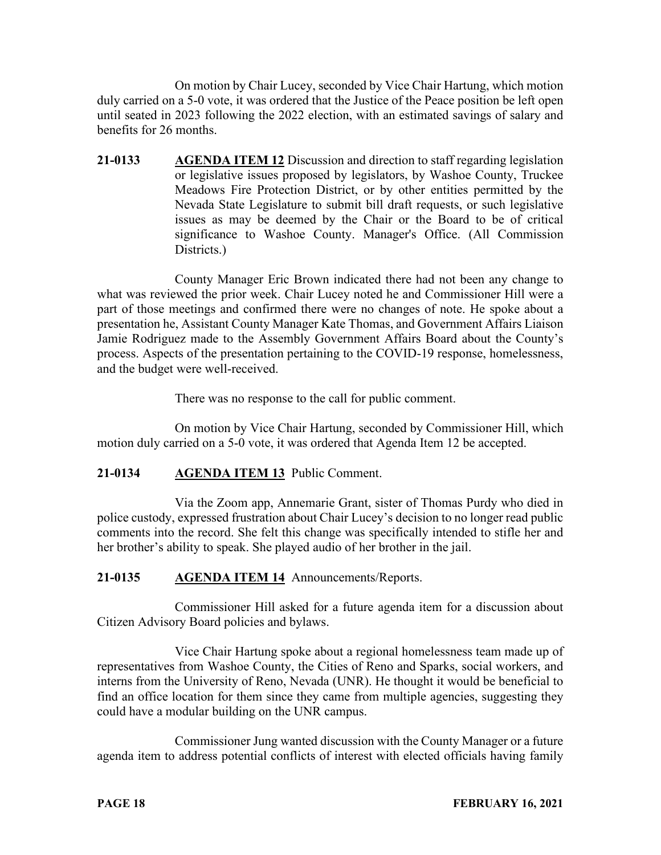On motion by Chair Lucey, seconded by Vice Chair Hartung, which motion duly carried on a 5-0 vote, it was ordered that the Justice of the Peace position be left open until seated in 2023 following the 2022 election, with an estimated savings of salary and benefits for 26 months.

**21-0133 AGENDA ITEM 12** Discussion and direction to staff regarding legislation or legislative issues proposed by legislators, by Washoe County, Truckee Meadows Fire Protection District, or by other entities permitted by the Nevada State Legislature to submit bill draft requests, or such legislative issues as may be deemed by the Chair or the Board to be of critical significance to Washoe County. Manager's Office. (All Commission Districts.)

County Manager Eric Brown indicated there had not been any change to what was reviewed the prior week. Chair Lucey noted he and Commissioner Hill were a part of those meetings and confirmed there were no changes of note. He spoke about a presentation he, Assistant County Manager Kate Thomas, and Government Affairs Liaison Jamie Rodriguez made to the Assembly Government Affairs Board about the County's process. Aspects of the presentation pertaining to the COVID-19 response, homelessness, and the budget were well-received.

There was no response to the call for public comment.

On motion by Vice Chair Hartung, seconded by Commissioner Hill, which motion duly carried on a 5-0 vote, it was ordered that Agenda Item 12 be accepted.

## **21-0134 AGENDA ITEM 13** Public Comment.

Via the Zoom app, Annemarie Grant, sister of Thomas Purdy who died in police custody, expressed frustration about Chair Lucey's decision to no longer read public comments into the record. She felt this change was specifically intended to stifle her and her brother's ability to speak. She played audio of her brother in the jail.

## **21-0135 AGENDA ITEM 14** Announcements/Reports.

Commissioner Hill asked for a future agenda item for a discussion about Citizen Advisory Board policies and bylaws.

Vice Chair Hartung spoke about a regional homelessness team made up of representatives from Washoe County, the Cities of Reno and Sparks, social workers, and interns from the University of Reno, Nevada (UNR). He thought it would be beneficial to find an office location for them since they came from multiple agencies, suggesting they could have a modular building on the UNR campus.

Commissioner Jung wanted discussion with the County Manager or a future agenda item to address potential conflicts of interest with elected officials having family